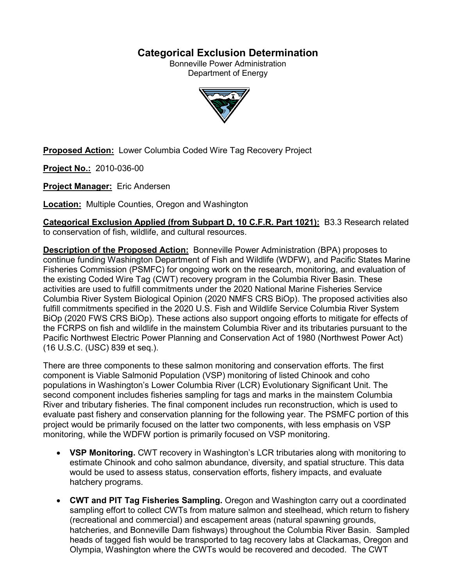# **Categorical Exclusion Determination**

Bonneville Power Administration Department of Energy



**Proposed Action:** Lower Columbia Coded Wire Tag Recovery Project

**Project No.:** 2010-036-00

**Project Manager:** Eric Andersen

**Location:** Multiple Counties, Oregon and Washington

**Categorical Exclusion Applied (from Subpart D, 10 C.F.R. Part 1021):** B3.3 Research related to conservation of fish, wildlife, and cultural resources.

**Description of the Proposed Action:** Bonneville Power Administration (BPA) proposes to continue funding Washington Department of Fish and Wildlife (WDFW), and Pacific States Marine Fisheries Commission (PSMFC) for ongoing work on the research, monitoring, and evaluation of the existing Coded Wire Tag (CWT) recovery program in the Columbia River Basin. These activities are used to fulfill commitments under the 2020 National Marine Fisheries Service Columbia River System Biological Opinion (2020 NMFS CRS BiOp). The proposed activities also fulfill commitments specified in the 2020 U.S. Fish and Wildlife Service Columbia River System BiOp (2020 FWS CRS BiOp). These actions also support ongoing efforts to mitigate for effects of the FCRPS on fish and wildlife in the mainstem Columbia River and its tributaries pursuant to the Pacific Northwest Electric Power Planning and Conservation Act of 1980 (Northwest Power Act) (16 U.S.C. (USC) 839 et seq.).

There are three components to these salmon monitoring and conservation efforts. The first component is Viable Salmonid Population (VSP) monitoring of listed Chinook and coho populations in Washington's Lower Columbia River (LCR) Evolutionary Significant Unit. The second component includes fisheries sampling for tags and marks in the mainstem Columbia River and tributary fisheries. The final component includes run reconstruction, which is used to evaluate past fishery and conservation planning for the following year. The PSMFC portion of this project would be primarily focused on the latter two components, with less emphasis on VSP monitoring, while the WDFW portion is primarily focused on VSP monitoring.

- **VSP Monitoring.** CWT recovery in Washington's LCR tributaries along with monitoring to estimate Chinook and coho salmon abundance, diversity, and spatial structure. This data would be used to assess status, conservation efforts, fishery impacts, and evaluate hatchery programs.
- **CWT and PIT Tag Fisheries Sampling.** Oregon and Washington carry out a coordinated sampling effort to collect CWTs from mature salmon and steelhead, which return to fishery (recreational and commercial) and escapement areas (natural spawning grounds, hatcheries, and Bonneville Dam fishways) throughout the Columbia River Basin. Sampled heads of tagged fish would be transported to tag recovery labs at Clackamas, Oregon and Olympia, Washington where the CWTs would be recovered and decoded. The CWT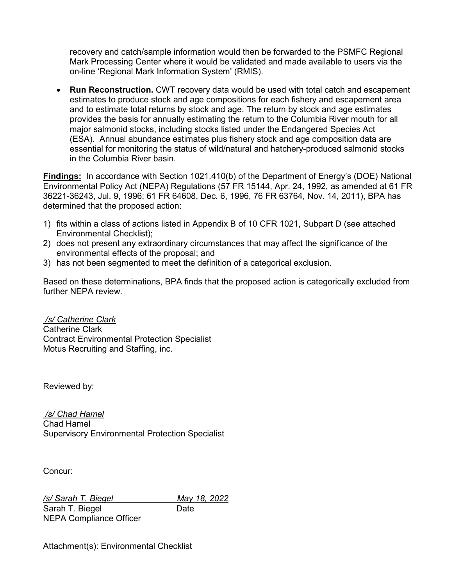recovery and catch/sample information would then be forwarded to the PSMFC Regional Mark Processing Center where it would be validated and made available to users via the on-line 'Regional Mark Information System' (RMIS).

• **Run Reconstruction.** CWT recovery data would be used with total catch and escapement estimates to produce stock and age compositions for each fishery and escapement area and to estimate total returns by stock and age. The return by stock and age estimates provides the basis for annually estimating the return to the Columbia River mouth for all major salmonid stocks, including stocks listed under the Endangered Species Act (ESA). Annual abundance estimates plus fishery stock and age composition data are essential for monitoring the status of wild/natural and hatchery-produced salmonid stocks in the Columbia River basin.

**Findings:** In accordance with Section 1021.410(b) of the Department of Energy's (DOE) National Environmental Policy Act (NEPA) Regulations (57 FR 15144, Apr. 24, 1992, as amended at 61 FR 36221-36243, Jul. 9, 1996; 61 FR 64608, Dec. 6, 1996, 76 FR 63764, Nov. 14, 2011), BPA has determined that the proposed action:

- 1) fits within a class of actions listed in Appendix B of 10 CFR 1021, Subpart D (see attached Environmental Checklist);
- 2) does not present any extraordinary circumstances that may affect the significance of the environmental effects of the proposal; and
- 3) has not been segmented to meet the definition of a categorical exclusion.

Based on these determinations, BPA finds that the proposed action is categorically excluded from further NFPA review

*/s/ Catherine Clark* Catherine Clark Contract Environmental Protection Specialist Motus Recruiting and Staffing, inc.

Reviewed by:

*/s/ Chad Hamel* Chad Hamel Supervisory Environmental Protection Specialist

Concur:

*/s/ Sarah T. Biegel May 18, 2022*

NEPA Compliance Officer

Sarah T. Biegel Date

Attachment(s): Environmental Checklist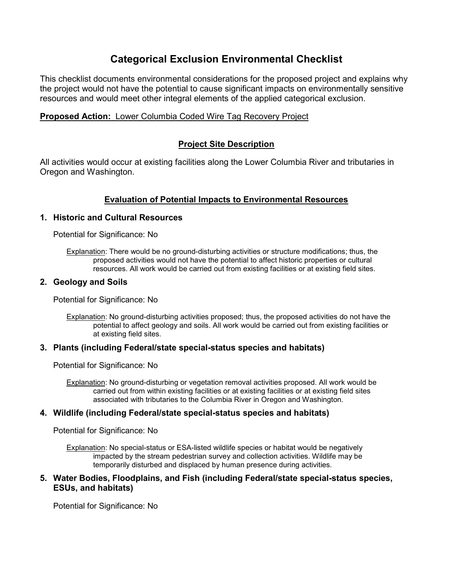# **Categorical Exclusion Environmental Checklist**

This checklist documents environmental considerations for the proposed project and explains why the project would not have the potential to cause significant impacts on environmentally sensitive resources and would meet other integral elements of the applied categorical exclusion.

# **Proposed Action:** Lower Columbia Coded Wire Tag Recovery Project

# **Project Site Description**

All activities would occur at existing facilities along the Lower Columbia River and tributaries in Oregon and Washington.

# **Evaluation of Potential Impacts to Environmental Resources**

## **1. Historic and Cultural Resources**

Potential for Significance: No

Explanation: There would be no ground-disturbing activities or structure modifications; thus, the proposed activities would not have the potential to affect historic properties or cultural resources. All work would be carried out from existing facilities or at existing field sites.

## **2. Geology and Soils**

Potential for Significance: No

Explanation: No ground-disturbing activities proposed; thus, the proposed activities do not have the potential to affect geology and soils. All work would be carried out from existing facilities or at existing field sites.

## **3. Plants (including Federal/state special-status species and habitats)**

Potential for Significance: No

Explanation: No ground-disturbing or vegetation removal activities proposed. All work would be carried out from within existing facilities or at existing facilities or at existing field sites associated with tributaries to the Columbia River in Oregon and Washington.

## **4. Wildlife (including Federal/state special-status species and habitats)**

Potential for Significance: No

Explanation: No special-status or ESA-listed wildlife species or habitat would be negatively impacted by the stream pedestrian survey and collection activities. Wildlife may be temporarily disturbed and displaced by human presence during activities.

## **5. Water Bodies, Floodplains, and Fish (including Federal/state special-status species, ESUs, and habitats)**

Potential for Significance: No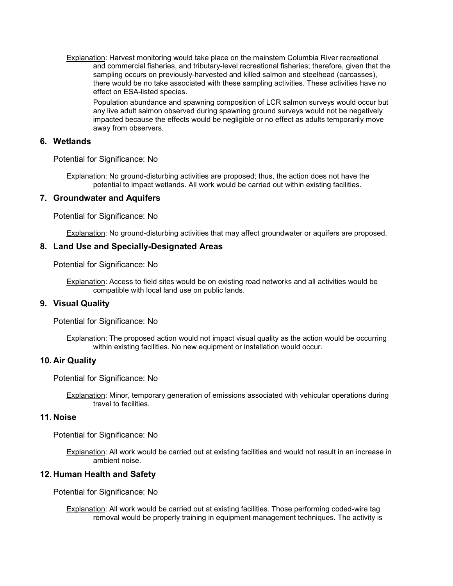Explanation: Harvest monitoring would take place on the mainstem Columbia River recreational and commercial fisheries, and tributary-level recreational fisheries; therefore, given that the sampling occurs on previously-harvested and killed salmon and steelhead (carcasses), there would be no take associated with these sampling activities. These activities have no effect on ESA-listed species.

Population abundance and spawning composition of LCR salmon surveys would occur but any live adult salmon observed during spawning ground surveys would not be negatively impacted because the effects would be negligible or no effect as adults temporarily move away from observers.

#### **6. Wetlands**

Potential for Significance: No

Explanation: No ground-disturbing activities are proposed; thus, the action does not have the potential to impact wetlands. All work would be carried out within existing facilities.

#### **7. Groundwater and Aquifers**

Potential for Significance: No

Explanation: No ground-disturbing activities that may affect groundwater or aquifers are proposed.

#### **8. Land Use and Specially-Designated Areas**

Potential for Significance: No

Explanation: Access to field sites would be on existing road networks and all activities would be compatible with local land use on public lands.

### **9. Visual Quality**

Potential for Significance: No

Explanation: The proposed action would not impact visual quality as the action would be occurring within existing facilities. No new equipment or installation would occur.

#### **10. Air Quality**

Potential for Significance: No

Explanation: Minor, temporary generation of emissions associated with vehicular operations during travel to facilities.

#### **11. Noise**

Potential for Significance: No

Explanation: All work would be carried out at existing facilities and would not result in an increase in ambient noise.

#### **12. Human Health and Safety**

Potential for Significance: No

Explanation: All work would be carried out at existing facilities. Those performing coded-wire tag removal would be properly training in equipment management techniques. The activity is